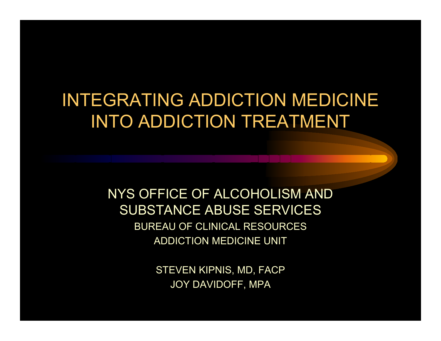#### INTEGRATING ADDICTION MEDICINE INTO ADDICTI ON TREATMENT

NYS OFFICE OF ALCOHOLISM AND SUBSTANCE ABUSE SERVICESBUREAU OF CLINICAL RESOURCES ADDICTION MEDICINE UNIT

> STEVEN KIPNIS, MD, FACP JOY DAVIDOFF, MPA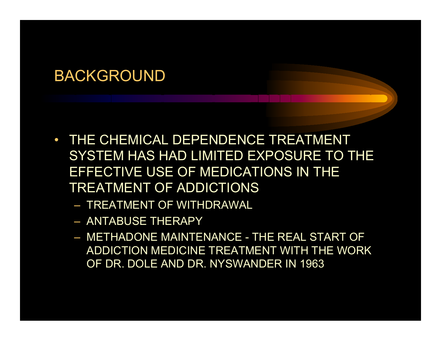- $\bullet$  THE CHEMICAL DEPENDENCE TREATMENT SYSTEM HAS HAD LIMITED EXPOSURE TO THE EFFECTIVE USE OF MEDICATIONS IN THE TREATMENT OF ADDICTIONS
	- TREATMENT OF WITHDRAWAL
	- ANTABUSE THERAPY
	- METHADONE MAINTENANCE THE REAL START OF ADDICTION MEDICINE TREATMENT WITH THE WORK OF DR. DOLE AND DR. NYSWANDER IN 1963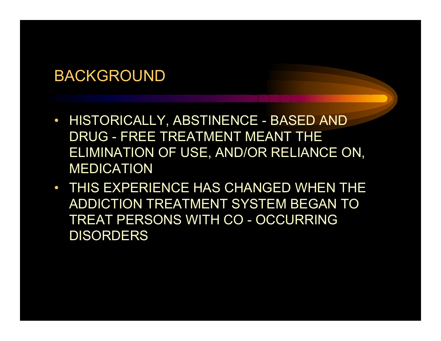- $\bullet$  HISTORICALLY, ABSTINENCE - BASED AND DRUG - FREE TREATMENT MEANT THE ELIMINATION OF USE, AND/OR RELIANCE ON, MEDICATION
- THIS EXPERIENCE HAS CHANGED WHEN THE ADDICTION TREATMENT SYSTEM BEGAN TO TREAT PERSONS WITH CO - OCCURRING **DISORDERS**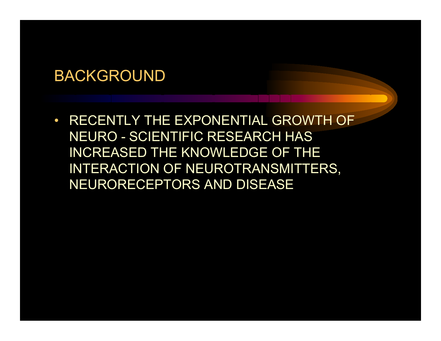$\bullet$  RECENTLY THE EXPONENTIAL GROWTH OF NEURO - SCIENTIFIC RESEARCH HAS INCREASED THE KNOWLEDGE OF THE INTERACTION OF NEUROTRANSMITTERS, NEURORECEPTORS AND DISEASE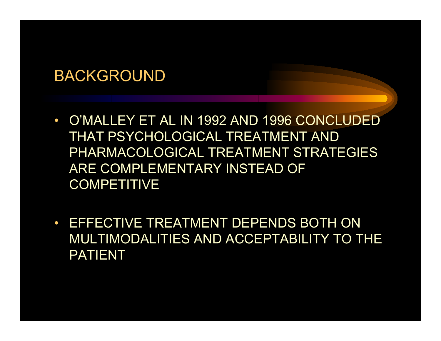- O'MALLEY ET AL IN 1992 AND 1996 CONCLUDED THAT PSYCHOLOGICAL TREATMENT AND PHARMACOLOGICAL TREATMENT STRATEGIES ARE COMPLEMENTARY INSTEAD OF **COMPETITIVE**
- • EFFECTIVE TREATMENT DEPENDS BOTH ON MULTIMODALITIES AND ACCEPTABILITY TO THE PATIENT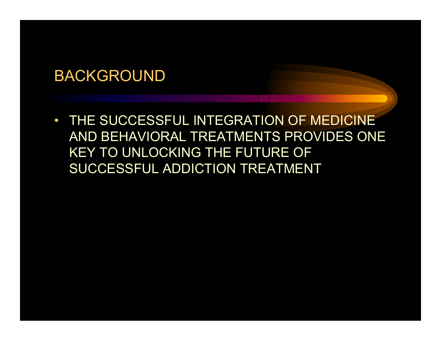$\bullet$  THE SUCCESSFUL INTEGRATION OF MEDICINE AND BEHAVIORAL TREATMENTS PROVIDES ONE KEY TO UNLOCKING THE FUTURE OF SUCCESSFUL ADDICTION TREATMENT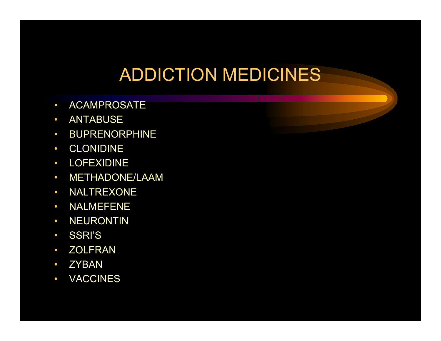#### ADDICTION MEDICINES

- •• ACAMPROSATE
- $\bullet$ ANTABUSE
- $\bullet$ **• BUPRENORPHINE**
- •CLONIDINE
- •• LOFEXIDINE
- $\bullet$ MET HADONE/LAAM
- $\bullet$ • NALTREXONE
- $\bullet$ • NALMEFENE
- •• NEURONTIN
- $\bullet$ SSRI'S
- $\bullet$ • ZOLFRAN
- $\bullet$ • ZYBAN
- $\bullet$ VACCINES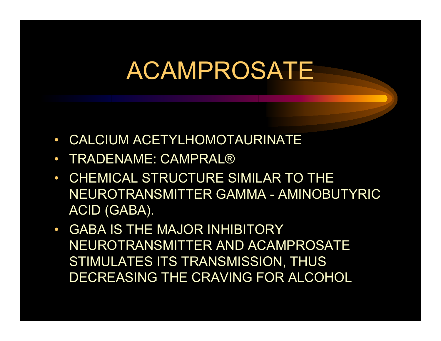- $\bullet$ CALCIUM ACETYLHOMOTAURINATE
- $\bullet$ • TRADENAME: CAMPRAL®
- $\bullet$  CHEMICAL STRUCTURE SIMILAR TO THE NEUROTRANSMITTER GAMMA - AMINOBUTYRIC ACID (GABA).
- $\bullet$  GABA IS THE MAJOR INHIBITORY NEUROTRANSMITTER AND ACAMPROSATE STIMULATES ITS TRANSMISSION, THUS DECREASING THE CRAVING FOR ALCOHOL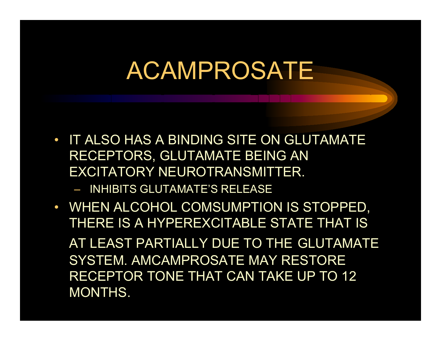- $\bullet$  IT ALSO HAS A BINDING SITE ON GLUTAMATE RECEPTORS, GLUTAMATE BEING AN EXCITATORY NEUROTRANSMITTER.
	- INHIBITS GLUTAMATE'S RELEASE
- WHEN ALCOHOL COMSUMPTION IS STOPPED, THERE IS A HYPEREXCITABLE STATE THAT IS AT LEAST PARTIALLY DUE TO THE GLUTAMATE SYSTEM. AMCAMPROSATE MAY RESTORE RECEPTOR TONE THAT CAN TAKE UP TO 12 MONTHS.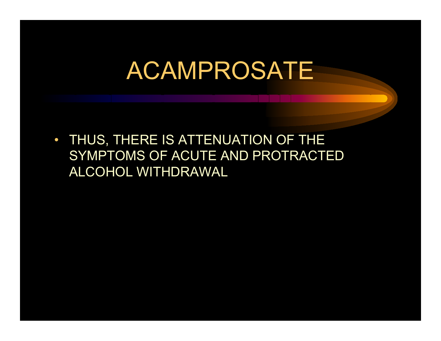$\bullet$  THUS, THERE IS ATTENUATION OF THE SYMPTOMS OF ACUTE AND PROTRACTED ALCOHOL WITHDRAWAL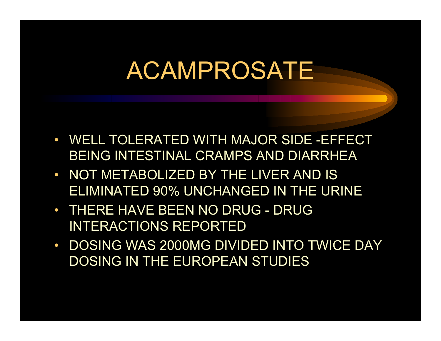- WELL TOLERATED WITH MAJOR SIDE -EFFECT BEING INTESTINAL CRAMPS AND DIARRHEA
- NOT METABOLIZED BY THE LIVER AND IS ELIMINATED 90% UNCHANGED IN THE URINE
- THERE HAVE BEEN NO DRUG DRUG INTERACTIONS REPORTED
- $\bullet$ • DOSING WAS 2000MG DIVIDED INTO TWICE DAY DOSING IN THE EUROPEAN STUDIES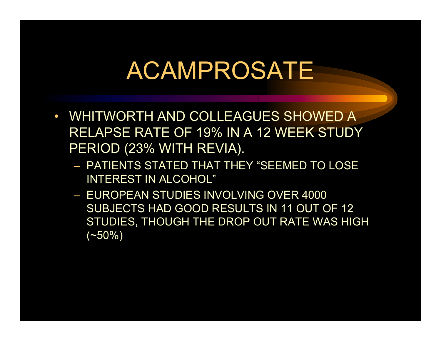- $\bullet$  WHITWORTH AND COLLEAGUES SHOWED A RELAPSE RATE OF 19% IN A 12 WEEK STUDY PERIOD (23% WITH REVIA).
	- PATIENTS STATED THAT THEY "SEEMED TO LOSE INTEREST IN ALCOHOL"
	- EUROPEAN STUDIES INVOLVING OVER 4000 SUBJECTS HAD GOOD RESULTS IN 11 OUT OF 12 STUDIES, T HOUGH THE DROP OUT RATE WAS HIGH  $(-50\%)$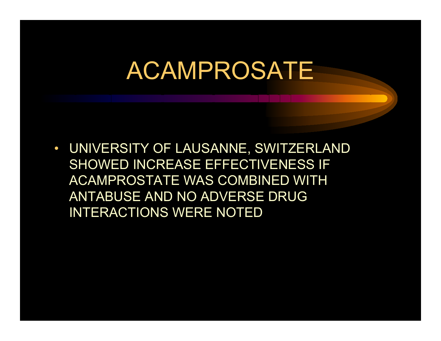$\bullet$  UNIVERSITY OF LAUSANNE, SWITZERLAND SHOWED INCREASE EFFECTIVENESS IF ACAMPROSTATE WAS COMBINED WITH ANTABUSE AND NO ADVERSE DRUG INTERACTIONS WERE NOTED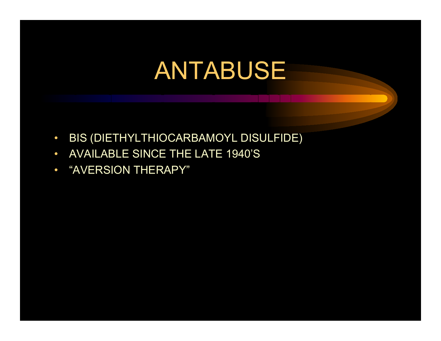- •BIS (DIETHYLTHIOCARBAMOYL DIS ULFIDE)
- $\bullet$ AVAILABLE SINCE THE LATE 1940'S
- •"AVERSION THERAPY"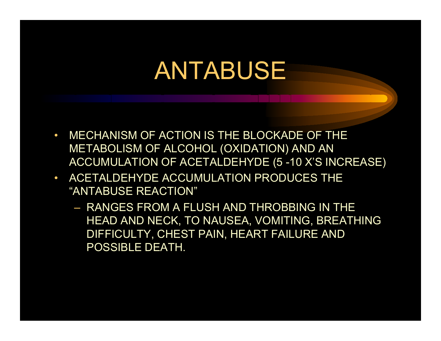- • MECHANISM OF ACTION IS THE BLOCKADE OF THE METABOLISM OF ALCOHOL ( OXIDATION) AND A N ACCUMULA TION OF ACETALDEHYD E (5 -10 X'S INCREASE)
- ACETALDEH YDE ACCUMULATION PRODUCES THE "ANTABUSE REACTION"
	- RANGES FROM A FLUSH AND THROBBING IN THE HEAD AND NECK, TO N AUSEA, VOMITIN G, BREATHING DIFFICULTY, CHEST PAIN, HEART FAILURE AND POSSIBLE DEATH.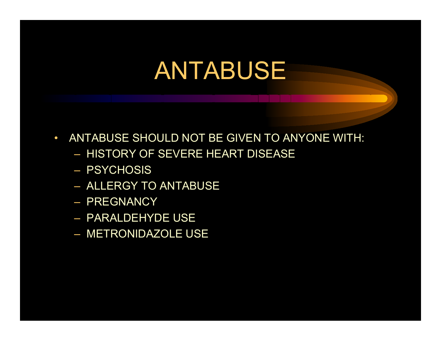- $\bullet$  ANTABUSE SHOULD NOT BE GIVEN TO ANYONE WITH:
	- HISTORY OF SEVERE HEART DISEASE
	- PSYCHOSIS
	- ALLERGY TO ANTABUS E
	- PREGNANCY
	- PARALDEHYDE USE
	- METRONIDA ZOLE USE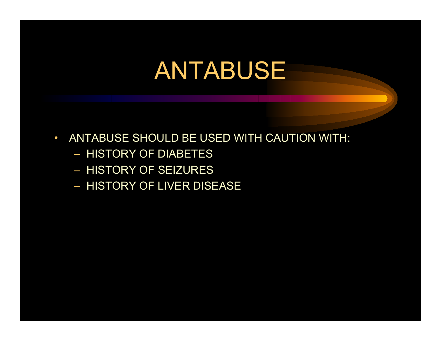- $\bullet$  ANTABUSE SHOULD BE USED WITH CAUTION WITH:
	- HISTORY OF DIABETE S
	- HISTORY OF SEIZURES
	- HISTORY OF LIVER DISEASE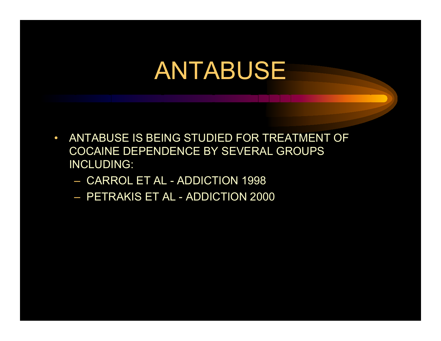- • ANTABUSE I S BEING STUDIED FOR TREATMENT OF COCAINE DEPENDENCE BY SEVERAL GROUPS. INCLUDING:
	- $-$  CARROL ET AL ADDICTION 1998
	- PETRAKIS ET AL ADDICTION 2000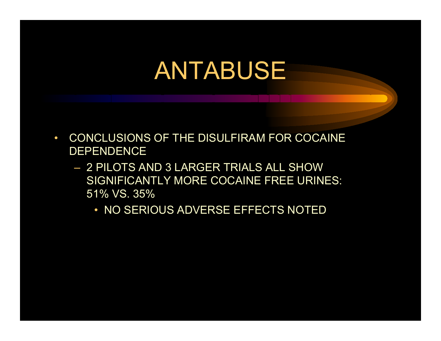- $\bullet$  CONCLUSIONS OF THE DISULFIRAM FOR COCAI NE DEPENDENCE
	- 2 PILOTS AND 3 LARGER TRIALS ALL SHOW SIGNIFICANTLY MORE COCAINE FREE URINES: 51% VS. 35%
		- NO SERIOUS ADVERSE EFFECTS NOTED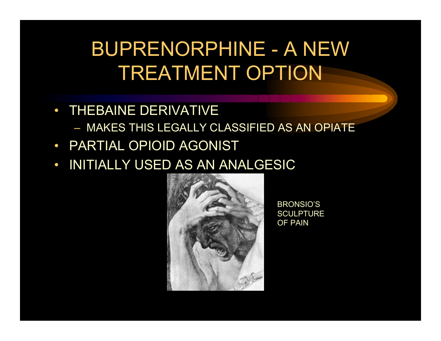### BUPRENORPHINE - A NEW TREATMENT OPTION

- THEBAINE DERIVATIVE
	- MAKES THIS LEGALLY CLASSIFIED AS AN OPIATE
- PARTIAL OPIOID AGONIST
- $\bullet$ INITIALLY USED AS AN ANALGESIC



BRONSIO'S **SCULPTURE** OF PAIN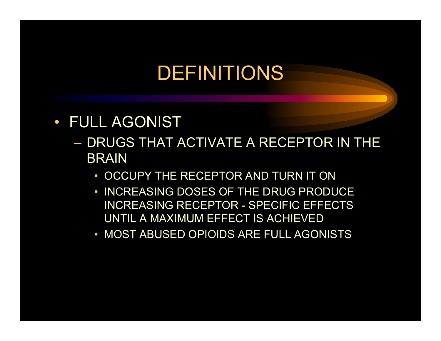### DEFINITIONS

- $\bullet$  FULL AGONIST
	- DRUGS THAT ACTIVATE A RECEPTOR IN THE BRAIN
		- OCCUPY THE RECEPTOR AND TURN IT ON
		- INCREASING DOSES O F THE DRUG PRODUCE INCREASING RECEPTOR - SPECIFIC EFFECTS UNTIL A MAXIMUM EFFECT IS ACHIEVED
		- MOST ABUSED OPIOI DS ARE FULL AGONISTS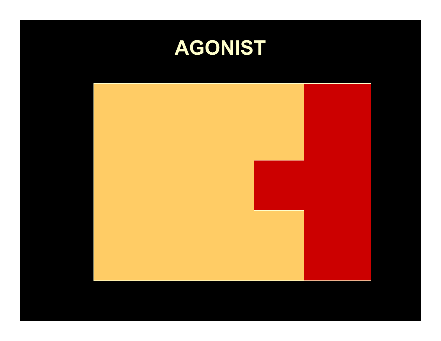### **AGONIST**

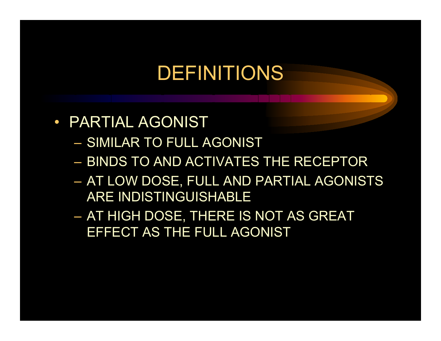### DEFINITIONS

- PARTIAL AGONIST
	- SIMILAR TO FULL AGONIST
	- BINDS TO AND ACTIVATES THE RECEPTOR
	- AT LOW DOSE, FULL AND PARTIAL AGONISTS ARE INDISTINGUISHABLE
	- AT HIGH D OSE, THERE IS NOT AS GREAT EFFECT AS THE FULL AGONIST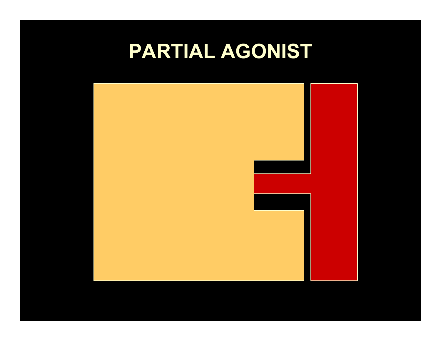### **PARTIAL AGONIST**

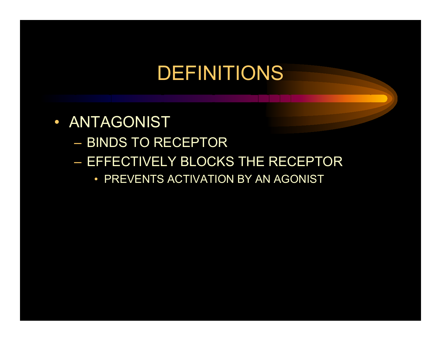### DEFINITIONS

- ANTAGONIST
	- BINDS TO RECEPTOR
	- EFFECTIVELY BLOCKS THE RECEPTOR
		- PREVENTS ACTIVATION BY AN AGONIST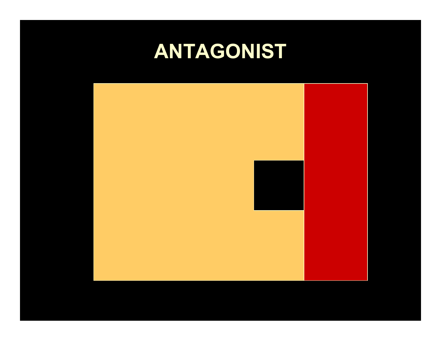### **ANTAGONIST**

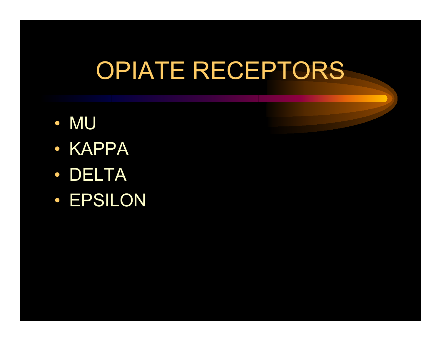# OPIATE RECEPTORS

- MU
- KAPPA
- DELTA
- EPSILON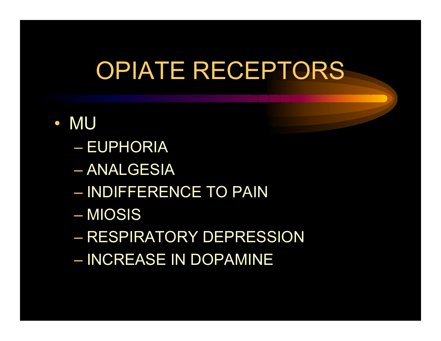# OPIATE RECEPTORS

- MU
	- EUPHORIA
	- ANALGESIA
	- INDIFFERENCE TO PAIN
	- MIOSIS
	- RESPIRATORY DEPRESSION
	- INCREASE IN DOPAMINE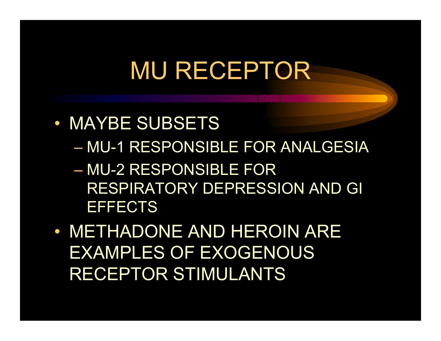# MU RECEPTOR

- MAYBE SUBSETS
	- –MU-1 RESPONSIBLE FOR ANALGESIA
	- MU-2 RESPONSIBLE FOR RESPIRATORY DEPRESSION AND GI **EFFECTS**
- METHADONE AND HEROIN ARE EXAMPLES OF EXOGENOUS RECEPTOR STIMULANTS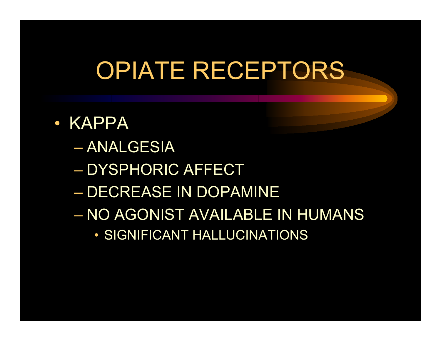# OPIATE RECEPTORS

- KAPPA
	- ANALGESIA
	- DYSPHORIC AFFECT
	- DECREASE IN DOPAMI NE
	- NO AGONIST AVAILABLE IN HUMANS
		- SIGNIFICANT HALLUCINATIONS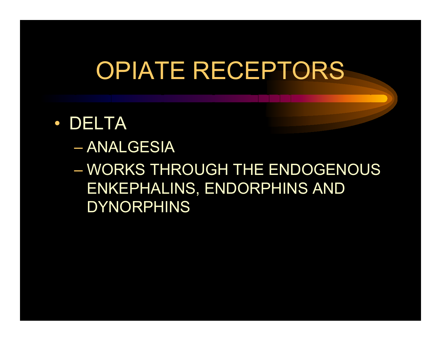# OPIATE RECEPTORS

- DELTA
	- ANALGESIA

– WORKS THROUGH THE ENDOGENOUS ENKEPHALINS, ENDORPHINS AND DYNORPHINS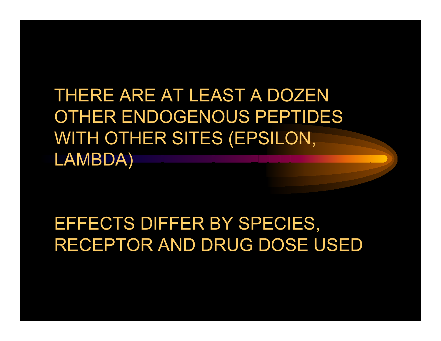THERE ARE AT LEAST A DOZEN OTHER ENDOGENOUS PEPTIDES WITH OTHER SITES (EPSILON, LAMBDA)

EFFECTS DIFFER BY SPECIES, RECEPTOR AND DRUG DOSE USED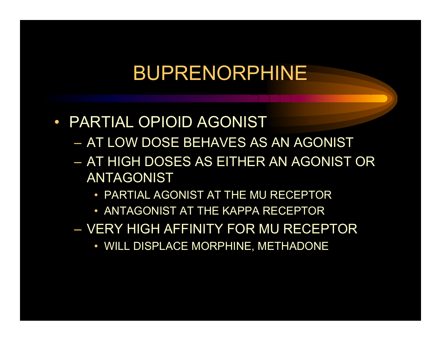- PARTIAL OPIOID AGONIST
	- AT LOW DOSE BEHAVES AS AN AGONIST
	- AT HIGH DOSES AS EITHER AN AGONIST OR ANTAGONIST
		- PARTIAL AGONIST AT THE MU RECEPTOR
		- ANTAGONIST AT THE KAPPA RECEPTOR
	- VERY HIGH AFFINITY FOR MU RECEPTOR
		- WILL DISPLACE MORPHINE, METHADONE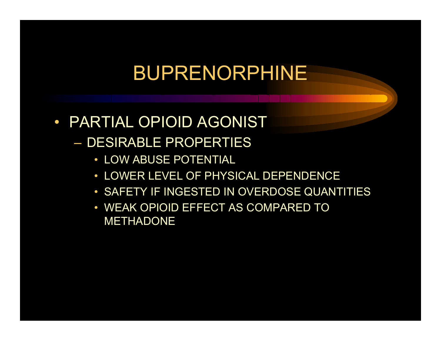- PARTIAL OPIOID AGONIST– DESIRABLE PROPERTIES
	- LOW ABUSE POTENTIAL
	- LOWER LEVEL OF PHYSICAL DEPENDENCE
	- SAFE TY IF INGESTED IN OVERDOSE QUANTITIE S
	- WEAK OPIOI D EFFECT A S COMPARED TO METHADONE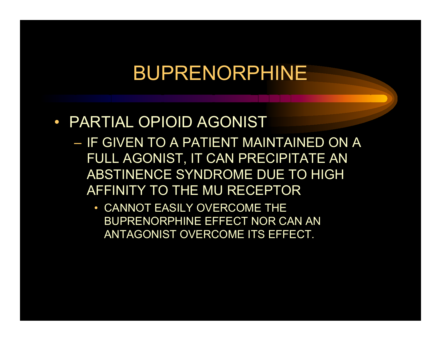#### • PARTIAL OPIOID AGONIST

- IF GIVEN TO A PATIENT MAINTAINED ON A FULL AGONIST, IT CAN PRECIPITATE A N ABSTINENCE SYNDROME DUE TO HIGH AFFINITY TO THE MU RECEPTOR
	- CANNOT EASILY OVERCOME THE BUPRENORPHINE EFFECT NOR CAN AN ANTAGONIST OVERCOME ITS EFF ECT.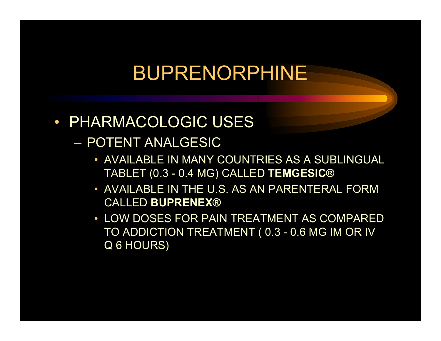#### • PHARMACOLOGIC USES

- POTENT ANALGESIC
	- AVAILABLE I N MANY COUNTRIES AS A SUBLINGUAL TABLET (0.3 - 0.4 MG) CALLED **TEMGESIC®**
	- AVAILABLE I N THE U.S. AS AN PARENTERAL FORM CALLED **BUPRENEX®**
	- LOW DOSES FOR PAIN TREATMENT AS COMPARED TO ADDICTION TREATMENT ( 0.3 - 0.6 MG IM OR IV Q 6 HOURS)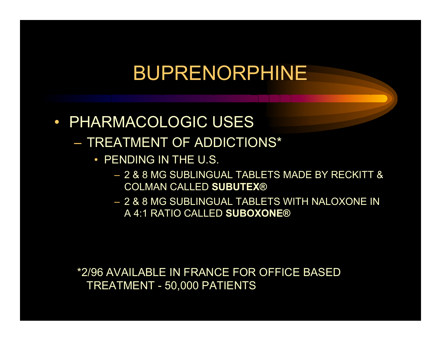#### • PHARMACOLOGIC USES

- TREATMENT OF ADDICTIONS\*
	- PENDING IN THE U.S.
		- 2 & 8 MG SUBLINGUAL TABLETS MADE BY RECKITT & COLMAN CALLED **SUBUTEX®**
		- 2 & 8 MG SUBLINGUAL TABLETS WITH NALOXONE IN A 4:1 RATIO CALLED **SUBOXONE®**

\*2/96 AVAILABLE IN FRANCE FOR OFFICE BAS E D TREATMENT - 50,000 PATIENTS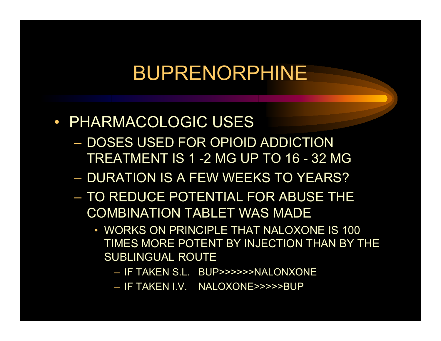- PHARMACOLOGIC USES
	- DOSES USED FOR OPIOID ADDICTION TREATMENT IS 1 -2 MG UP TO 16 -32 MG
	- DURATION IS A FEW WEEKS TO YEARS?
	- TO REDUCE POTENTIAL FOR ABUSE THE COMBINATION TABLET WAS MADE
		- WORKS ON PRINCIPLE THAT NALOXONE IS 100 TIMES MORE POTENT BY INJECTION THAN BY THE SUBLINGUAL ROUTE
			- IF TAKEN S.L. BUP>>>>>>NALONXONE
			- IF TAKEN I.V. NALOXONE>>>>>BUP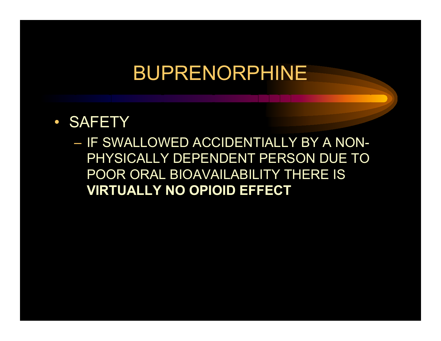• SAFETY

– IF SWALLOWED ACCIDENTIALLY BY A NON-PHY SICA LLY DEP E NDENT PERSON DUE TO POOR ORAL BIOAVAILABILIT Y THERE IS **VIRTUALLY NO OPIOID EFFECT**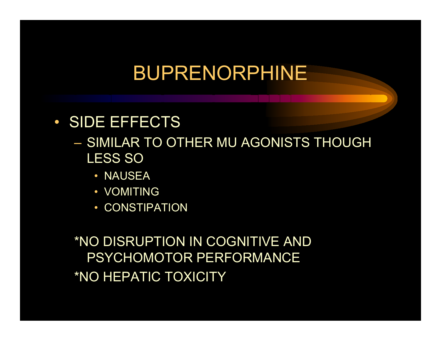#### • SIDE EFFECTS

- SIMILAR TO OTHER MU AGONISTS THOUGH LESS SO
	- NAUSEA
	- VOMITING
	- CONSTIPATION

\*NO DISRUPTION IN COGNITIVE AND PSYCHOMOTOR PERFORMANCE \*NO HEPATIC TOXICITY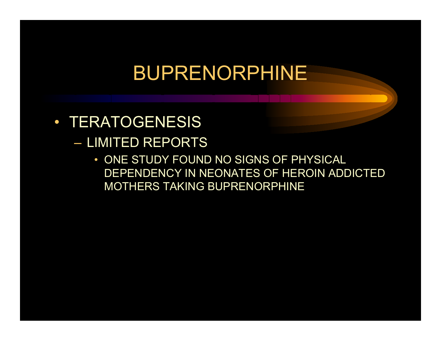- TERATOGENESIS
	- LIMITED REPORTS
		- ONE STUDY FOUND NO SIGNS OF P HYSICAL DEPENDEN CY IN NEONATES OF HEROIN ADDIC TED MOTHERS TAKING BUPRENORPHINE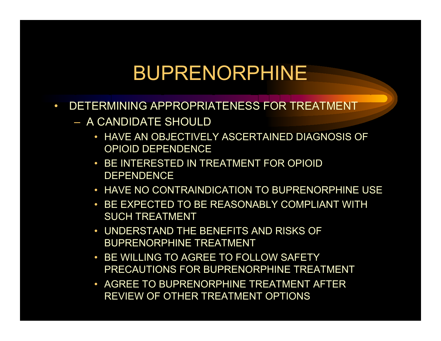- $\bullet$  DETERMINING APPROPRIATENESS FOR TREATMENT
	- A CANDIDATE SHOULD
		- HAVE AN OBJECTIVELY ASCERTAINED DIAGNOSIS OF OPIOID DEPENDENCE
		- BE INTERESTED IN TREATMENT FOR OPIOID DEPENDENCE
		- HAVE NO CONTRAINDICATION TO BUPRENORPHINE USE
		- BE EXPECTED TO BE REASONABLY COMPLIANT WITH SUCH T REATMENT
		- UNDERSTAND THE BENEFITS AND RISKS OF BUPRENORPHINE TREATMENT
		- BE WILLING TO AGREE TO FOLLOW SAFETYPRECAUTIONS FOR BUPRENORPHINE TREATMENT
		- AGREE TO BUPRENORPHINE TREATMENT AFTER REVIEW OF OTHER TREATMENT OPTIONS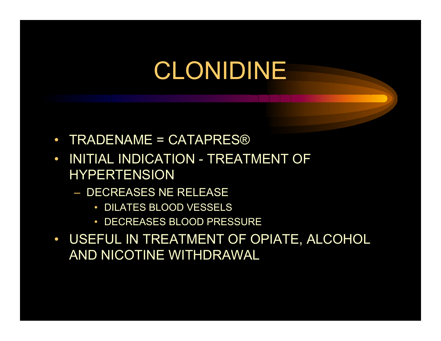- $\bullet$ • TRADENAME = CATAPRES®
- $\bullet$  INITIAL INDICATION - TREATMENT OF HYPERTENSION
	- DECREASES NE RELEASE
		- DILATES BLOOD VESSELS
		- DECREASES BLOOD PRESSURE
- USEFUL IN TREATMENT OF OPIATE, ALCOHOL AND NICOTINE WITHDRAWAL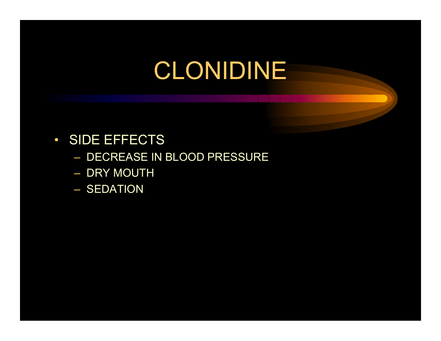- $\bullet$ **• SIDE EFFECTS** 
	- DECREASE IN BLOOD P RESSURE
	- DRY MOUTH
	- SEDATION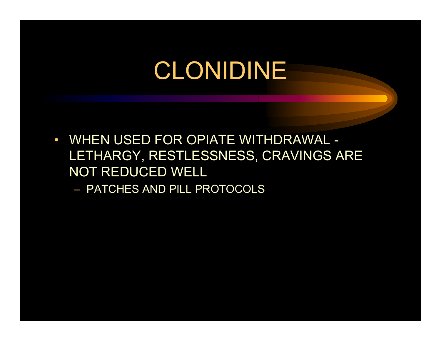- $\bullet$  WHEN USED FOR OPIATE WITHDRAWAL - LETHARGY, RESTLESSNESS, CRAVINGS ARE NOT REDUCED WELL
	- PATCHES AND PILL PROTOCOLS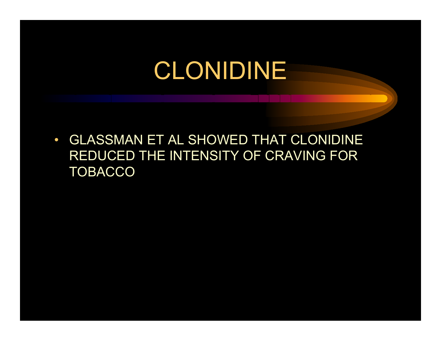$\bullet$  GLASSMAN ET AL SHOWED THAT CLONIDINE REDUCED THE INTENSITY OF CRAVING FOR **TOBACCO**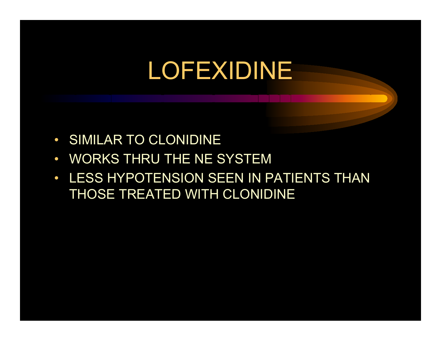# LOFEXIDINE

- $\bullet$ SIMILAR TO CLONIDINE
- $\bullet$ WORKS THRU THE NE SYSTEM
- $\bullet$ LESS HYPOTENSION SEEN IN PATIENTS THAN THOSE TREATED WITH CLONIDINE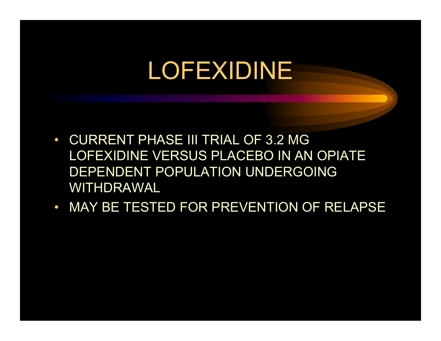# LOFEXIDINE

- $\bullet$  CURRENT PHASE III TRIAL OF 3.2 MG LOFEXIDINE VERSUS PLACEBO IN AN OPIATE DEPENDENT POPULATION UNDERGOING WITHDRAWAL
- MAY BE TESTED FOR PREVENTION OF RELAPSE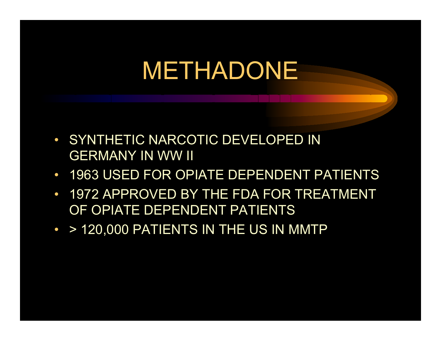## METHADONE

- SYNT HETI C NARCOTIC DEVELOPED IN GERMANY IN WW II
- $\bullet$ 1963 USED FOR OPIATE DEPENDENT PATIENTS
- $\bullet$  1972 APPROVED BY THE FDA FOR TREATMENT OF OPIATE DEPENDENT PATIENTS
- > 120,000 PATIENTS IN THE US IN MMTP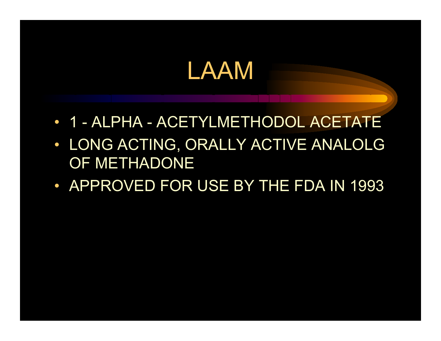### LAAM

- 1 ALPHA ACETYLMETHODOL ACETATE
- LONG ACTING, ORALLY ACTIVE ANALOLG OF METHADONE
- APPROVED FOR USE BY THE FDA IN 1993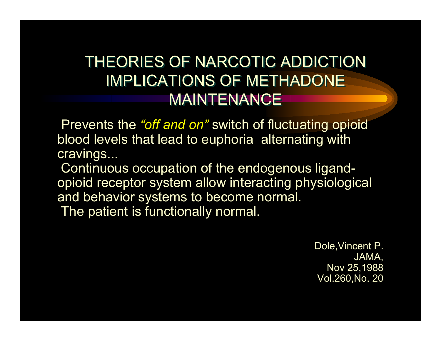#### THEORIES OF NARCOTIC ADDICTION IMPLICATIONS OF METHADONE IMPLICATIONS OF METHADONE MAINTENANCE

Prevents the *"off and on"* switch of fluctuating opioid blood levels that lead to euphoria alternating with cravings...

Continuous occupation of the endogenous ligandopioid receptor system allow interacting physiological and behavior systems to become normal. The patient is functionally normal.

> Dole,Vincent P. JAMA, Nov 25,1988 Vol.260,No. 20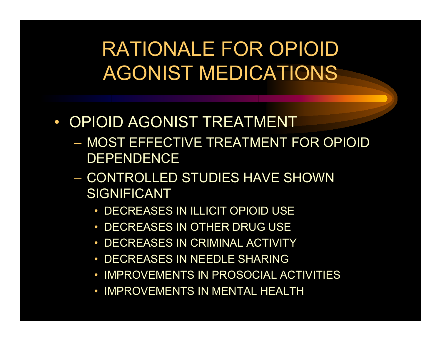RATIONALE FOR OPIOID AGONIST MEDICATIONS

- OPIOID AGONIST TREATMENT
	- MOST EFFECTIVE TREATMENT FOR OPIOID DEPENDENCE
	- CONTROL LED STUDIES HAVE SHOWN SIGNIFICANT
		- DECREAS E S IN ILLICIT OPIOID USE
		- DECREASES IN OTHER DRUG USE
		- DECREASES IN CRIMINAL ACTIVITY
		- DECREASES IN NEEDLE SHARING
		- IMPROVEMENTS IN PROSOCIAL ACTIVITIES
		- IMPROVEMENTS IN MENTAL HEALTH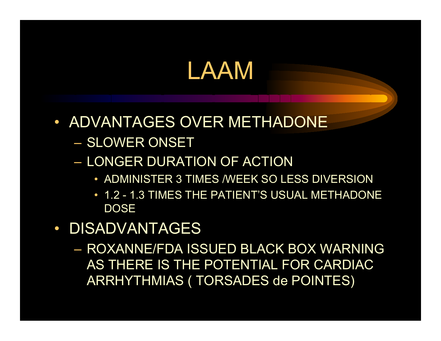### LAAM

- ADVANTAGES OVER METHADONE
	- SLOWER ONSET
	- LONGER DURATION OF ACTION
		- ADMINISTER 3 TIMES /WEEK SO LESS DIVERSION
		- 1.2 1.3 TIMES THE PATIENT'S USUAL METHADONE **DOSE**
- $\bullet$  DISADVANTAGES
	- ROXANNE/FDA ISSUED BLACK BOX WARNING AS THERE IS THE POTENTIAL FOR CARDIAC ARRHYTHMIAS ( TORSADES de POINTES)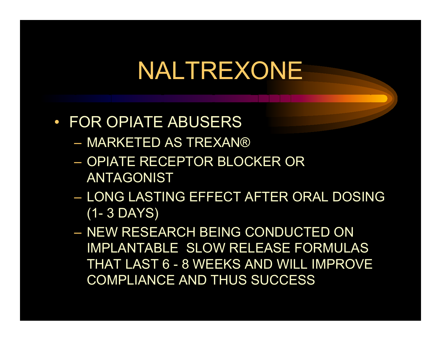- FOR OPIATE ABUSERS
	- MARKETED AS TREXAN®
	- OPIATE RECEPTOR BLOCKER OR ANTAGONIST
	- LONG LASTING EFFECT AFTER ORAL DOSING (1- 3 DAYS)
	- NEW RESEARCH BEING CONDUCTED ON IMPLANTABLE SLOW RELEASE FORMULAS THAT LAST 6 -8 WEEKS AND WILL IMPROVE COMPLIANCE AND THUS SUCCESS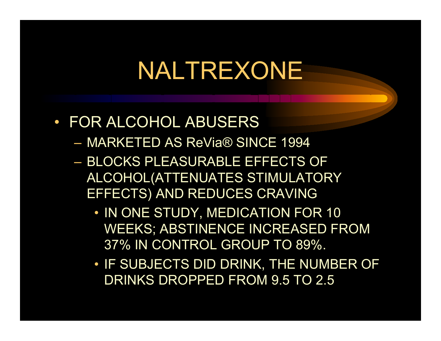#### • FOR ALCOHOL ABUSERS

- MARKETED AS ReVia® SINCE 199 4
- BLOCKS PLEASURABLE EFFECTS OF ALCOHOL(ATTENUATES STIMULATORY EFFECTS) AND REDUCES CRAVING
	- IN ONE STUDY, MEDICATION F OR 10 WEEKS; ABSTINENCE INCREASED FROM 37% IN CONTROL GROUP TO 89%.
	- IF SUBJECTS DID DRINK, THE NUMBER OF DRINKS DROPPED FROM 9.5 TO 2.5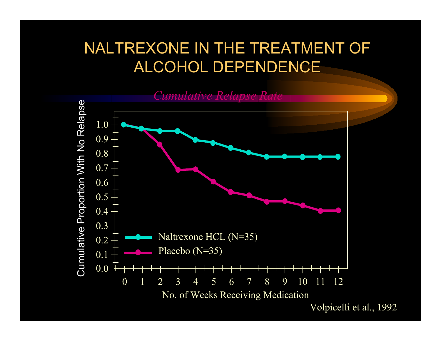#### NALTREXONE IN THE TREATMENT OF ALCOHOL DEPENDENCE

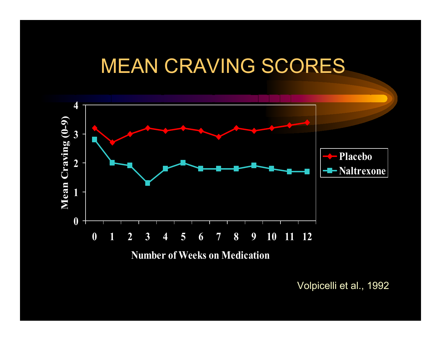### MEAN CRAVING SCORES



Volpicelli et al., 1992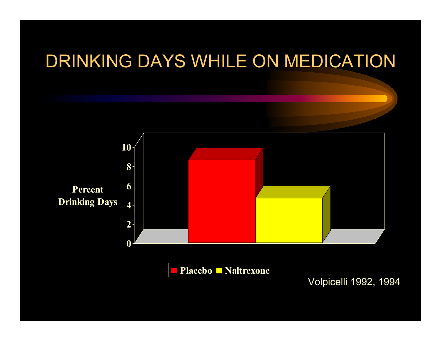### DRINKING DAYS WHILE ON MEDICATION **02 46810 Percent Drinking Days Placebo Naltrexone** Volpicelli 1992, 1994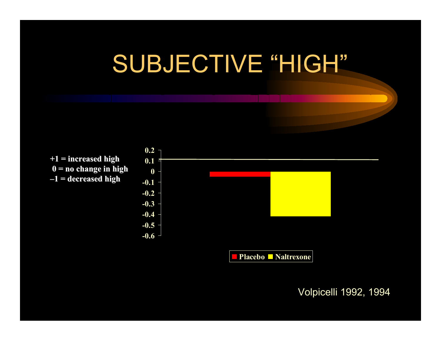# SUBJECTIVE "HIGH"

**+1 = i ncrea s e d high 0 = no c hange in high – 1 = decrea s e d high**



Volpicelli 1992, 1994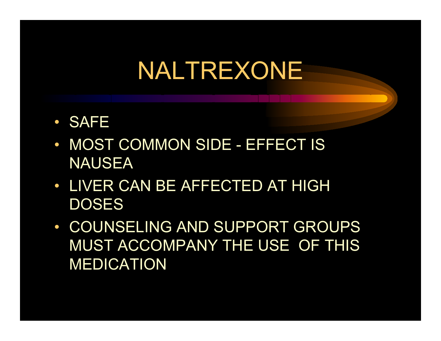- SAFE
- MOST COMMON SIDE EFFECT IS NAUSEA
- LIVER CAN BE AFFECTED AT HIGH **DOSES**
- COUNSELING AND SUPPORT GROUPS MUST ACCOMPANY THE USE OF THIS MEDICATION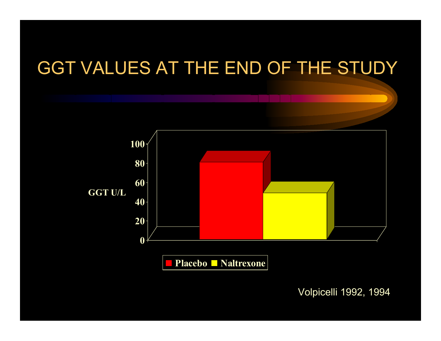### GGT VALUES AT THE END OF THE STUDY



Volpicelli 1992, 1994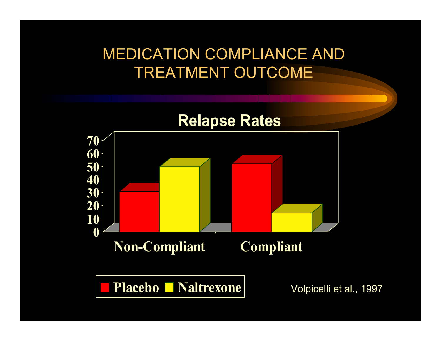#### MEDICATION COMPLIANCE AND TREATMENT OUTCOM E

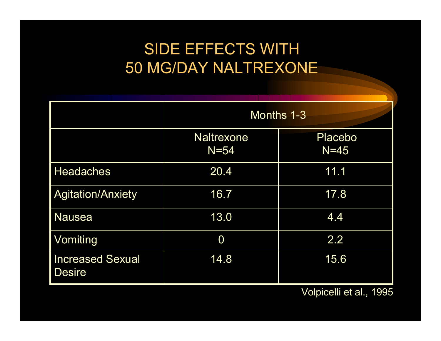#### SIDE EFFECTS WITH 50 MG/DAY NAL TREXONE

|                                          | Months 1-3                    |                          |
|------------------------------------------|-------------------------------|--------------------------|
|                                          | <b>Naltrexone</b><br>$N = 54$ | <b>Placebo</b><br>$N=45$ |
| <b>Headaches</b>                         | 20.4                          | 11.1                     |
| <b>Agitation/Anxiety</b>                 | 16.7                          | 17.8                     |
| <b>Nausea</b>                            | 13.0                          | 4.4                      |
| Vomiting                                 | 0                             | 2.2                      |
| <b>Increased Sexual</b><br><b>Desire</b> | 14.8                          | 15.6                     |

Volpicelli et al., 1995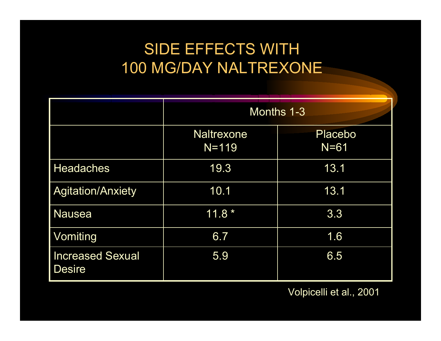#### SIDE EFFECTS WITH 100 MG/DAY NALTREXONE

|                                          | Months 1-3                     |                   |
|------------------------------------------|--------------------------------|-------------------|
|                                          | <b>Naltrexone</b><br>$N = 119$ | Placebo<br>$N=61$ |
| <b>Headaches</b>                         | 19.3                           | 13.1              |
| <b>Agitation/Anxiety</b>                 | 10.1                           | 13.1              |
| <b>Nausea</b>                            | $11.8*$                        | 3.3               |
| Vomiting                                 | 6.7                            | 1.6               |
| <b>Increased Sexual</b><br><b>Desire</b> | 5.9                            | 6.5               |

Volpicelli et al., 2001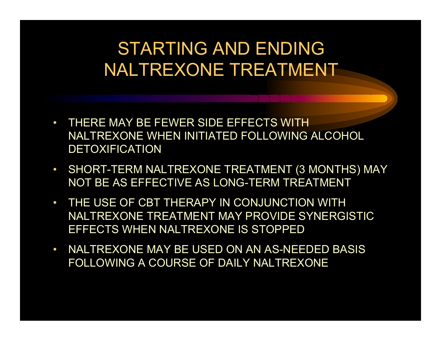### STARTING AND ENDING NALTREXONE TREATMENT

- THERE MAY BE FEWER SIDE EFFECTS WITH NALTREXONE WHEN INITIATED FOLLOWING ALCOHOL DETOXIFICATION
- SHORT-TERM NALTREXONE TREATMENT (3 MONTHS) MAY NOT BE AS EFFECTIVE AS LONG-TERM TREATMENT
- THE USE OF CBT THERAPY IN CONJUNCTION WITH NALTREXONE TREATMENT MAY PROVIDE SYNERGISTIC EFFECTS WHEN NALTREXONE IS STOPPED
- $\bullet$  NALTREXONE MAY BE USED ON AN AS-NEEDED BASIS FOLLOWING A COURSE OF DAILY NALTREXONE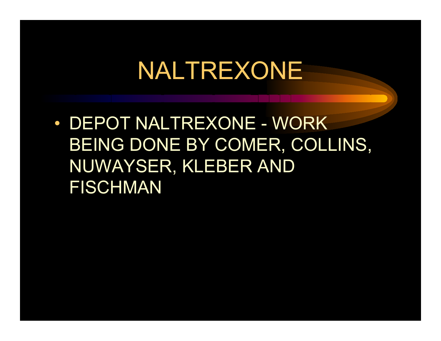• DEPOT NALTREXONE - WORK BEING DONE BY COMER, COLLINS, NUWAYSER, KLEBER AND FISCHMAN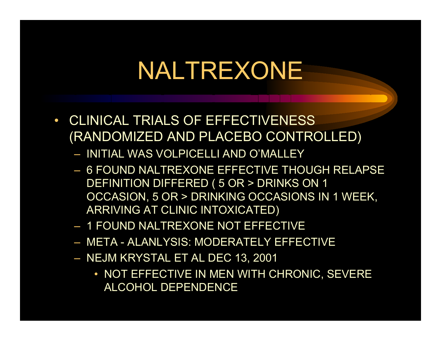- CLINICAL TRIALS OF EFFECTIVENESS (RANDOMIZED AND PLACEBO CONTROLLED)
	- INITIAL WAS VOLPICELLI AND O'MALLEY
	- 6 FOUND NALTREXONE EFFECTIVE THOUGH RELAPSE DEFINITION DIFFERED ( 5 OR > DRI NKS ON 1 OCCASION, 5 OR > DRINKING OCCASIONS IN 1 WEEK, ARRIVING AT CLINIC INT OXICATED)
	- 1 FOUND NALTREXONE NOT EFFECTIVE
	- META ALANLYSIS: MODERATELY EFFECTIVE
	- NEJ M KRYSTAL ET AL DEC 13, 2001
		- NOT EFFECTIVE IN MEN WITH CHRONIC, SEVERE ALCOH OL DEPENDENC E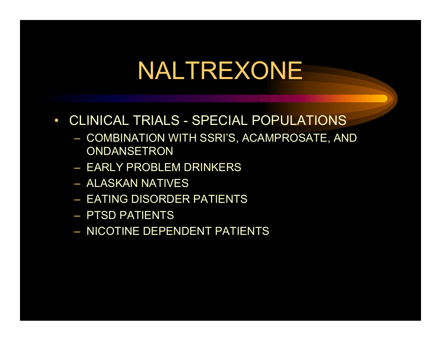- $\bullet$  CLINICAL TRIALS - SPECIAL POPULATIONS
	- COMBINATI ON WITH SSRI'S, ACAMP ROSATE, AND **ONDANSETRON**
	- EARLY PROBLEM DRINKERS
	- ALASKAN NATIVES
	- EATING DISORDER PATIENTS
	- PTSD PATIENTS
	- NICOTINE DEPENDENT PATIENTS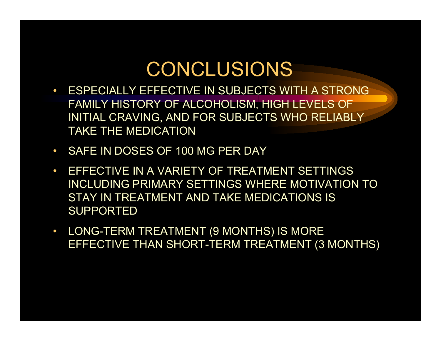### CONCLUSIONS

- • ESPECIALLY EFFECTIVE IN SUBJECTS WITH A STRONG FAMILY HISTORY OF ALCOHOLISM, HIGH LEVELS OF INITIAL CRAVING, AND FOR SUBJECTS WHO RELIABLY TAKE THE MEDICATION
- $\bullet$ SAFE IN DOSES OF 100 MG PER DAY
- $\bullet$  EFFECTIVE IN A VARIETY OF TREATMENT SETTINGS INCLUDING PRIMARY S ETTINGS WHERE MOTIVATION TO STAY IN TREATMENT AND TAKE MEDICATIONS I S SUPPORTED
- $\bullet$ • LONG-TERM TREATMENT (9 MONTHS) IS MORE EFFECTIVE THAN SHORT-TERM TRE ATMENT (3 MONTHS)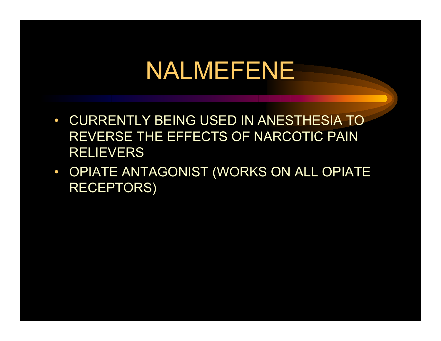## NALMEFENE

- CURRENT LY BEING USED IN ANESTHESIA TO REVERSE THE EFFECTS OF NARCOTIC PAIN **RELIEVERS**
- OPIATE ANTAGONIST (WORKS ON ALL OPIATE RECEPTORS)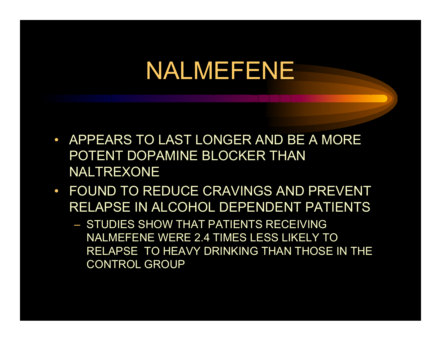## NALMEFENE

- $\bullet$  APPEARS TO LAST LONGER AND BE A MORE POTENT DOPAMINE BLOCKER THAN NALTREXONE
- $\bullet$  FOUND TO REDUCE CRAVINGS AND PREVENT RELAPSE IN ALCOHOL DEPENDENT PATIENTS
	- STUDIES SHOW THAT PATIENTS RECEIVING NALMEFENE WERE 2.4 TIMES LESS LIKELY TO RELAPSE T O HEAVY DRINKING THAN THOSE IN THE CONTR O L G ROUP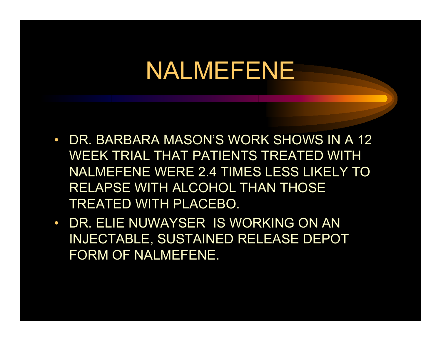### NALMEFENE

- $\bullet$  DR. BARBARA MASON'S WORK SHOWS IN A 12 WEEK TRIAL THAT PATIENTS TREATED WITH NALMEFENE WERE 2.4 TIMES LESS LIKELY TO RELAPSE WITH ALCOHOL THAN THOSE TREATED WITH PLACEBO.
- DR. ELIE NUWAYSER IS WORKING ON AN INJECTABLE, SUSTAINED RELEASE DEPOT FORM OF NALMEFENE.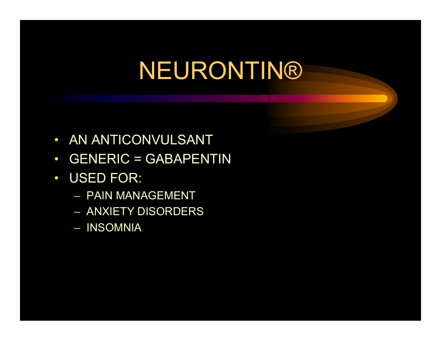# NEURONTIN®

- $\bullet$ • AN ANTICONVULSANT
- $\bullet$ GENERIC = GABAPENTIN
- $\bullet$  USE D FOR:
	- PAIN MANAGEMENT
	- ANXIETY DISORDERS
	- INSOMNIA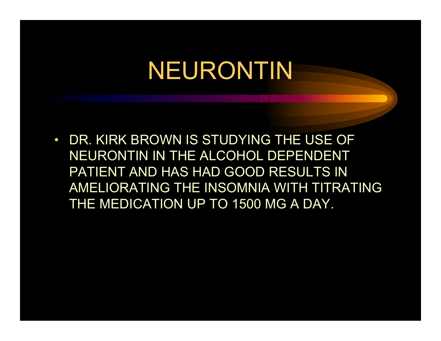# NEURONTIN

 $\bullet$  DR. KIRK BROWN IS STUDYING THE USE OFNEURONTIN IN THE ALCOHOL DEPENDENT PATIENT AND HAS HAD GOOD RES ULTS IN AMELIORATING THE INSOMNIA WITH TITRATING THE MEDICATION UP TO 1500 MG A DAY.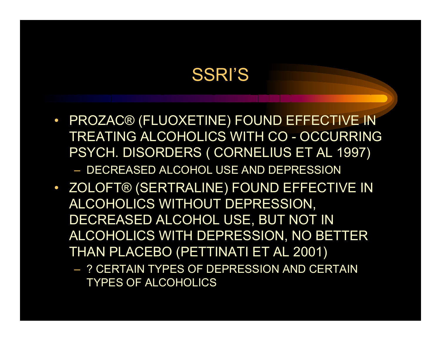#### SSRI'S

- PROZAC® (FLUOXETINE) FOUND EFFECTIVE IN TREATING ALCOHOLICS WITH CO - OCCURRING PSYCH. DISORDERS ( CORNELIUS ET AL 1997) – DECREASED ALCOHOL USE AND DEPRESSION
- ZOLOFT® (SERTRALINE) FOUND EFFECTIVE IN ALCOHOLICS WITHOUT DEPRESSION, DECREASED ALCOHOL USE, BUT NOT IN ALCOHOLICS WITH DEPRESSION, NO BETTER THAN PLACEBO (PETTINATI ET AL 2001)
	- ? CERTAIN TYPES OF DEPRESSION AND CERTAIN TYPES OF ALCOHOLICS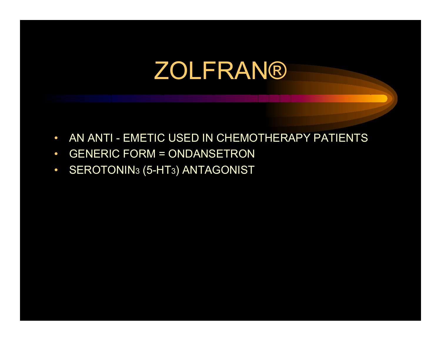## ZOLFRAN®

- $\bullet$ AN ANTI - EMETIC USED IN CHEMOTHERAPY P ATIENTS
- $\bullet$ GENERIC F ORM = OND ANSETRON
- $\bullet$ • SEROTONIN3 (5-HT3) ANTAGONIST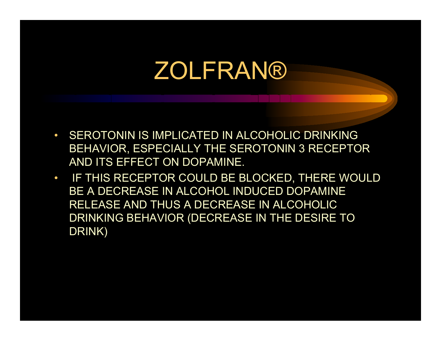## ZOLFRAN®

- SEROTONIN IS IMPLICATED IN ALCOHOLIC DRINKING BEHA VIOR, ESPECIALLY THE SEROTONIN 3 RECEPTOR AND ITS EFFECT ON DOPAMINE.
- IF THIS RECEPTOR COULD BE BLOCKED, THERE WOULD BE A DECREASE IN ALCOHOL INDUCED DOPAMINE RELEASE AND THUS A DECREASE IN ALCOHOLIC DRINKING BEHAVIOR (DECREASE IN THE DESIRE TO DRINK)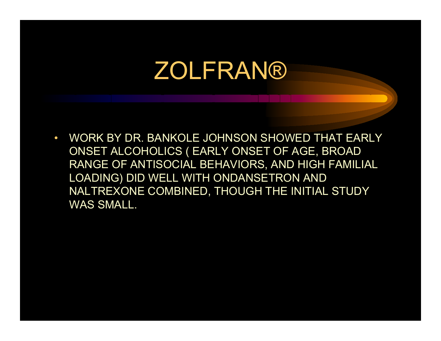## ZOLFRAN®

• WORK BY DR. BANKOLE JOHNSON SHOWED THAT EARLY ONSET ALCOHOLICS ( E ARLY ONSET OF AGE, B ROAD RANGE OF ANTISOCIAL BEHAVIORS, AND HIGH FAMILIAL LOADIN G ) DID WELL WIT H ONDANSETRON AND NALTREXONE COMBINE D, THOUGH THE INITIAL STUDY WAS SMALL.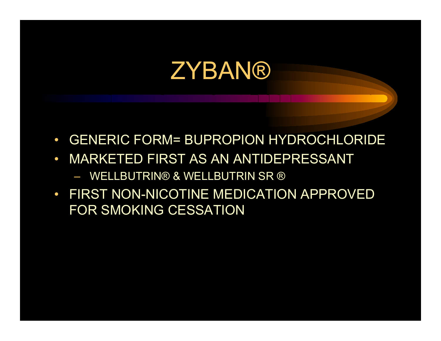- $\bullet$ GENERIC FORM= BUPROPION HYDROCHLORIDE
- $\bullet$  MARKETED FIRST AS AN ANTIDEPRESSANT– WELLBUTRIN® & WELLBUTRIN SR ®
- FIRST NON-NICOTINE MEDICATION APPROVED FOR SMOKING CESSATION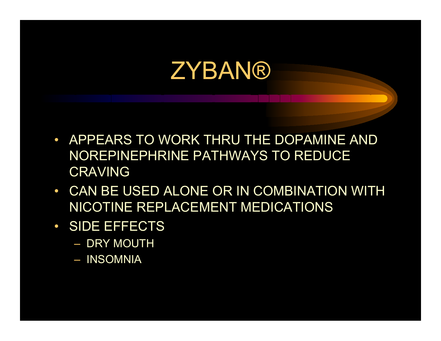- APPEARS TO WORK THRU THE DOPAMINE AND NOREPINEPHRINE PATHWAYS TO REDUCE **CRAVING**
- $\bullet$  CAN BE USED ALONE OR IN COMBINATION WITH NICOTINE REPLACEMENT MEDICATIONS
- $\bullet$  SIDE EFFECTS
	- DRY MOUTH
	- INSOMNIA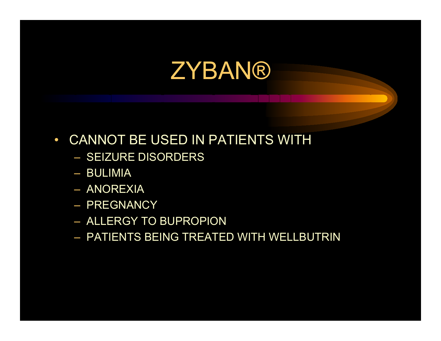- $\bullet$  CANNOT BE USED IN PATIENTS WITH
	- SEIZURE DISORDERS
	- BULIMIA
	- ANOREXIA
	- PREGNANCY
	- ALLERGY TO BUPROPION
	- PATIENTS BEING TREATED WITH WELLBUTRIN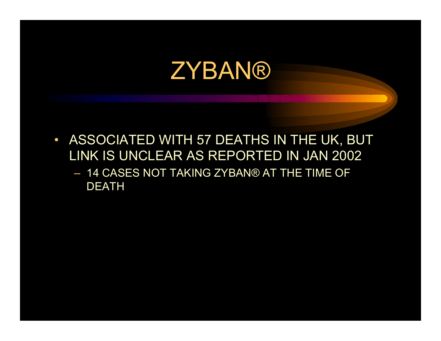- $\bullet$  ASSOCIATED WITH 57 DEATHS IN THE UK, BUT LINK IS UNCLEAR AS REPORTED IN JAN 2002
	- 14 CASES NOT TAKING ZYBAN® AT THE TIME OF DEATH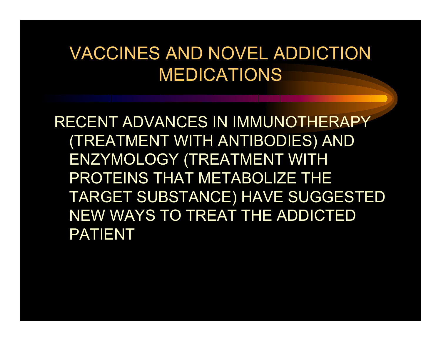RECENT ADVANCES IN IMMUNOTHERAPY (TREATMENT WITH ANTIBODIES) AND ENZYMOLOGY (TREATMENT WITH PROTEINS THAT METABOLIZE THE TARGET SUBSTANCE) HAVE SUG GESTED NEW WAYS TO TREAT THE ADDICTED PATIENT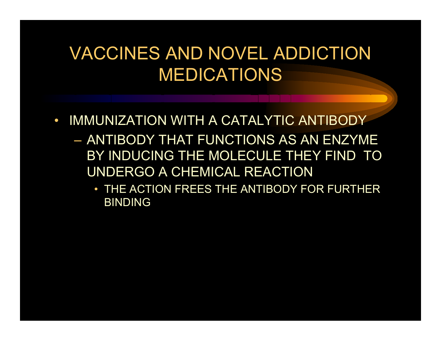- $\bullet$  IMMUNIZATION WITH A CATALYTIC ANTIBODY
	- ANTIBODY THAT FUNCTIONS AS AN ENZYME BY INDUCING THE MOLECULE THEY FIND TO UNDERGO A CHEMICAL REACTION
		- THE ACTION FREES THE ANTIBODY FOR FURTHER BINDING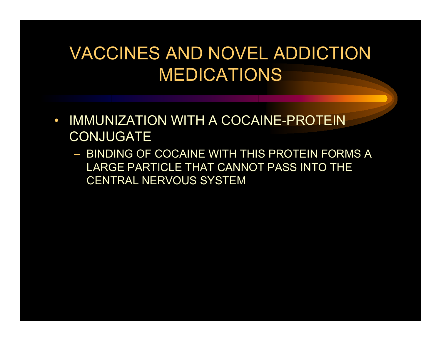- $\bullet$ • IMMUNIZATION WITH A COCAINE-PROTEIN **CONJUGATE** 
	- BINDING OF COCAINE WITH THIS PROTEIN FORMS A LARGE PARTICLE THAT CANNOT PASS INTO THE CENTRAL NERVOUS SYSTEM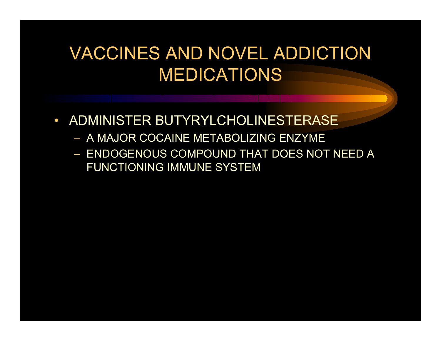- $\bullet$ • ADMINISTER BUTYRYLCHOLINESTERASE
	- A MAJ OR COCAINE METABOLIZING ENZYME
	- $-$  ENDOGENOUS COMPOUND THAT DOES NOT NEED A  $\,$ FUNCTIONING IMMUNE SYSTEM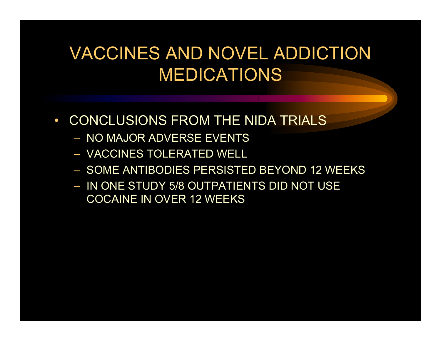- $\bullet$  CONCLUSIONS FROM THE NIDA TRIALS
	- NO MAJOR ADVERSE EVENTS
	- VACCINES TOLERATED WELL
	- SOME ANTIBODIES PERSISTED BEYOND 12 WEEKS
	- IN O NE STUDY 5/8 OUTPATIENTS DID NOT USE COCAINE IN OVER 12 WEEKS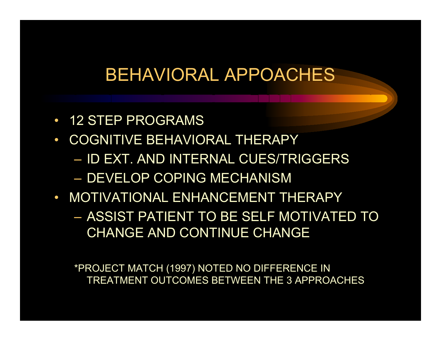#### BEHAVIORAL APPOACHES

- 12 STEP PROGRAMS
- $\bullet$  COGNITIVE BEHAVIORAL THERAPY
	- ID EXT. A ND INTERNAL CUES/TRIGGERS
	- DEVELOP COPING MECHANISM
- MOTIVATIONAL ENHANCEMENT THERAPY– ASSIST PATIENT TO BE SELF MOTIVATED TO CHANGE AND CONTINUE CHANGE

\*PROJECT MATCH (1997) NOT ED NO DIF F ERENCE IN T REA T MENT OUT COMES B ETWEEN T H E 3 APPROACHES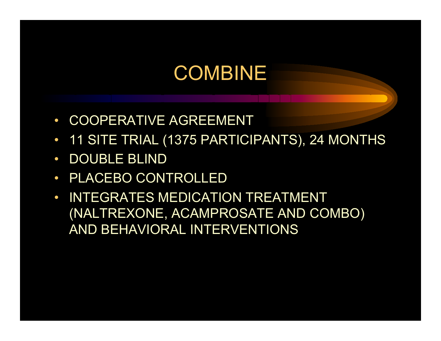### COMBINE

- $\bullet$ COOPERATIVE AGREEMENT
- $\bullet$ 11 SITE TRIAL (1375 PARTICIPANTS), 24 MONTHS
- $\bullet$ DOUBLE BLIND
- $\bullet$ PLACEBO CONTROLLED
- $\bullet$  INTEGRATES MEDICATION TREATMENT (NALTREXONE, ACAMPROSATE AND COMBO) AND BEHAVIORAL INTERVENTIONS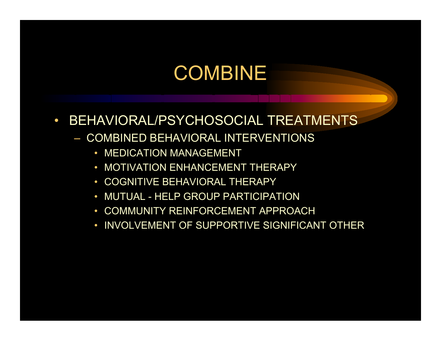### COMBINE

- $\bullet$  BEHAVIORAL/PSYCHOSOCIAL TREATMENTS
	- COMBINED BEHAVIORAL INTERVENTIONS
		- MEDICATION MANAGEMENT
		- •MOTIVATION ENHANCEMENT THERAPY
		- •COGNITIVE BEHAVIORAL THERAPY
		- •MUTUAL - HELP GROUP PARTICIPATION
		- •COMMUNITY REINFORCEMENT APPROACH
		- •INVOLVEMENT OF SUPPORTIVE SIGNIFICANT OTHER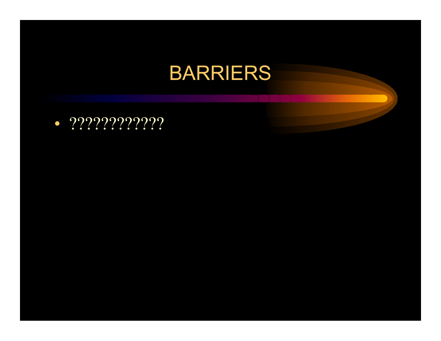• ????????????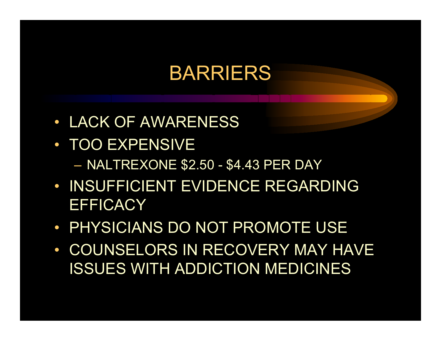- LACK OF AWARENESS
- TOO EXPENSIVE
	- NALTREXONE \$2.50 \$4.43 PER DAY
- INSUFFICIENT EVIDENCE REGARDING **EFFICACY**
- PHYSICIANS DO NOT PROMOTE USE
- COUNSELORS IN RECOVERY MAY HAVE ISSUES WITH ADDICTION MEDICINES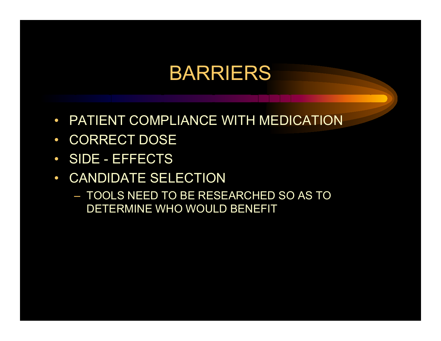- $\bullet$ PATIENT COMPLIANCE WITH MEDICATION
- $\bullet$ CORRECT DOSE
- $\bullet$ SIDE - EFFECTS
- $\bullet$  CANDIDATE SELECTION
	- TOOLS NEED TO BE RESEARCHED SO AS TO DETERMINE WHO WOULD BENEFIT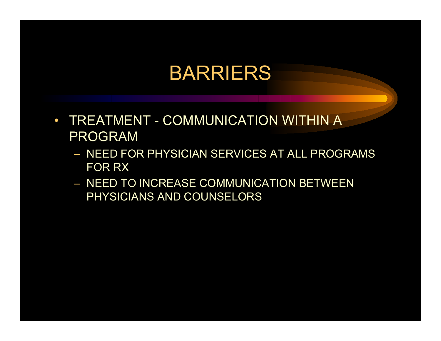- $\bullet$  TREATMENT - COMMUNICATION WITHIN A PROGRAM
	- NEED FOR PHYSICIAN SERVICES AT ALL PROGRAMS FOR RX
	- NEED TO INCREASE COMMUNICATION BETWEEN PHYSICIANS AND COUNSELORS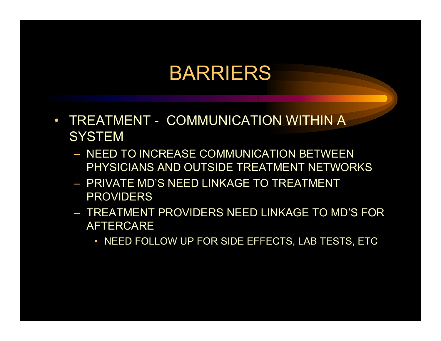- $\bullet$  TREATMENT - COMMUNICATION WITHIN A **SYSTEM** 
	- NEED TO INCREASE COMMUNICATION BETWEEN PHYSICIANS AND OUTSIDE TREATMENT NETWORKS
	- PRIVATE MD'S NEED LINKAGE TO TREATMENT PROVIDERS
	- TREATMENT PROVIDERS NEED LINKAGE TO MD'S FOR AFTERCARE
		- NEED FOLLOW UP FOR SIDE EFFECTS, LAB TESTS, ETC